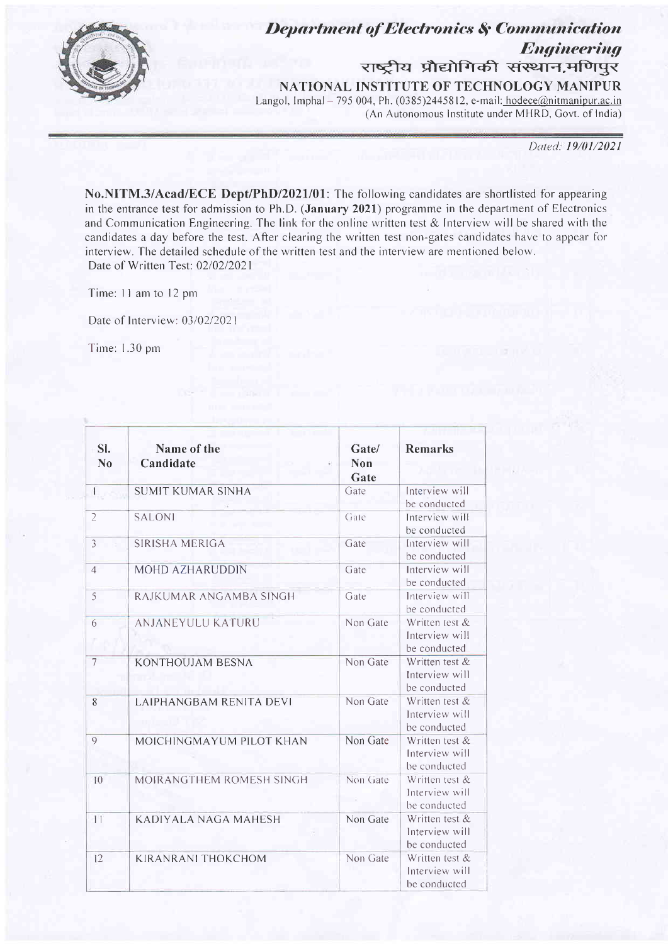

## **Department of Electronics & Communication Engineering** राष्ट्रीय प्रौद्योगिकी संस्थान,मणिपुर

NATIONAL INSTITUTE OF TECHNOLOGY MANIPUR Langol, Imphal - 795 004, Ph. (0385)2445812, e-mail: hodece@nitmanipur.ac.in (An Autonomous Institute under MHRD, Govt. of India)

Dated: 19/01/2021

No.NITM.3/Acad/ECE Dept/PhD/2021/01: The following candidates are shortlisted for appearing in the entrance test for admission to Ph.D. (January 2021) programme in the department of Electronics and Communication Engineering. The link for the online written test & Interview will be shared with the candidates a day before the test. After clearing the written test non-gates candidates have to appear for interview. The detailed schedule of the written test and the interview are mentioned below. Date of Written Test: 02/02/2021

Time: 11 am to 12 pm

Date of Interview: 03/02/2021

Time: 1.30 pm

| SI.<br>No               | Name of the<br>Candidate       | Gate/<br>Non<br>Gate | Remarks                                          |
|-------------------------|--------------------------------|----------------------|--------------------------------------------------|
| Ι.                      | <b>SUMIT KUMAR SINHA</b>       | Gate                 | Interview will<br>be conducted                   |
| $\overline{2}$          | <b>SALONI</b>                  | Gate                 | Interview will<br>be conducted                   |
| $\overline{\mathbf{3}}$ | SIRISHA MERIGA                 | Gate                 | Interview will<br>be conducted                   |
| $\overline{4}$          | <b>MOHD AZHARUDDIN</b>         | Gate                 | Interview will<br>be conducted                   |
| $\mathsf S$             | RAJKUMAR ANGAMBA SINGH         | Gate                 | Interview will<br>be conducted                   |
| 6                       | <b>ANJANEYULU KATURU</b>       | Non Gate             | Written test &<br>Interview will<br>be conducted |
| $\overline{7}$          | KONTHOUJAM BESNA               | Non Gate             | Written test &<br>Interview will<br>be conducted |
| 8                       | <b>LAIPHANGBAM RENITA DEVI</b> | Non Gate             | Written test &<br>Interview will<br>be conducted |
| $\mathbf Q$             | MOICHINGMAYUM PILOT KHAN       | Non Gate             | Written test &<br>Interview will<br>be conducted |
| 10                      | MOIRANGTHEM ROMESH SINGH       | Non Gate             | Written test &<br>Interview will<br>be conducted |
| 11                      | KADIYALA NAGA MAHESH           | Non Gate             | Written test &<br>Interview will<br>be conducted |
| 12                      | <b>KIRANRANI THOKCHOM</b>      | Non Gate             | Written test &<br>Interview will<br>be conducted |